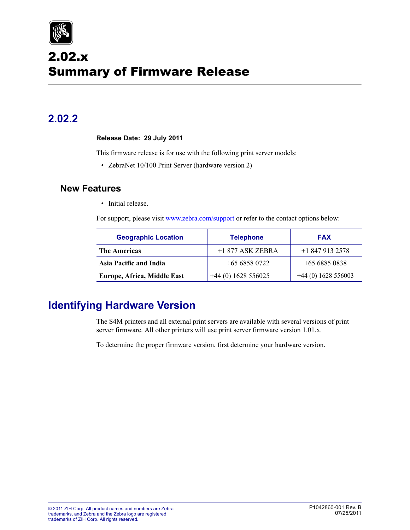

# 2.02.x Summary of Firmware Release

## **2.02.2**

#### **Release Date: 29 July 2011**

This firmware release is for use with the following print server models:

• ZebraNet 10/100 Print Server (hardware version 2)

### **New Features**

• Initial release.

For support, please visit www.zebra.com/support or refer to the contact options below:

| <b>Geographic Location</b>  | <b>Telephone</b>     | <b>FAX</b>           |
|-----------------------------|----------------------|----------------------|
| <b>The Americas</b>         | $+1877$ ASK ZEBRA    | $+18479132578$       |
| Asia Pacific and India      | $+6568580722$        | $+6568850838$        |
| Europe, Africa, Middle East | $+44(0)$ 1628 556025 | $+44(0)$ 1628 556003 |

## **Identifying Hardware Version**

The S4M printers and all external print servers are available with several versions of print server firmware. All other printers will use print server firmware version 1.01.x.

To determine the proper firmware version, first determine your hardware version.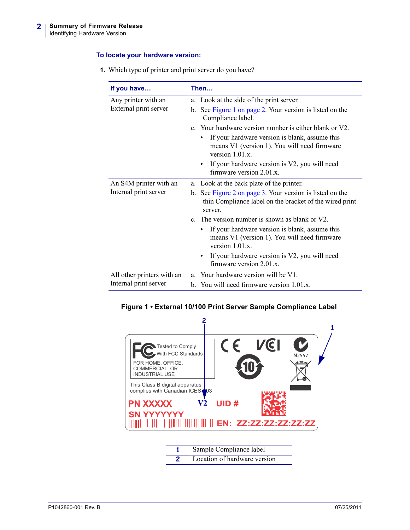#### **To locate your hardware version:**

| If you have                                  | Then                                                                                                                                                                                                                                                                                                           |  |
|----------------------------------------------|----------------------------------------------------------------------------------------------------------------------------------------------------------------------------------------------------------------------------------------------------------------------------------------------------------------|--|
| Any printer with an<br>External print server | a. Look at the side of the print server.<br>b. See Figure 1 on page 2. Your version is listed on the<br>Compliance label.<br>c. Your hardware version number is either blank or V2.<br>If your hardware version is blank, assume this<br>means V1 (version 1). You will need firmware<br>version $1.01 \times$ |  |
|                                              | If your hardware version is V2, you will need<br>firmware version $2.01 \text{ x}$ .                                                                                                                                                                                                                           |  |
| An S4M printer with an                       | a. Look at the back plate of the printer.                                                                                                                                                                                                                                                                      |  |
| Internal print server                        | b. See Figure 2 on page 3. Your version is listed on the<br>thin Compliance label on the bracket of the wired print<br>server.                                                                                                                                                                                 |  |
|                                              | c. The version number is shown as blank or V2.                                                                                                                                                                                                                                                                 |  |
|                                              | If your hardware version is blank, assume this<br>means V1 (version 1). You will need firmware<br>version $1.01.x$ .                                                                                                                                                                                           |  |
|                                              | If your hardware version is V2, you will need<br>firmware version 2.01.x.                                                                                                                                                                                                                                      |  |
| All other printers with an                   | Your hardware version will be V1.<br>a                                                                                                                                                                                                                                                                         |  |
| Internal print server                        | b. You will need firmware version 1.01.x.                                                                                                                                                                                                                                                                      |  |

**1.** Which type of printer and print server do you have?

<span id="page-1-0"></span>



| Sample Compliance label      |
|------------------------------|
| Location of hardware version |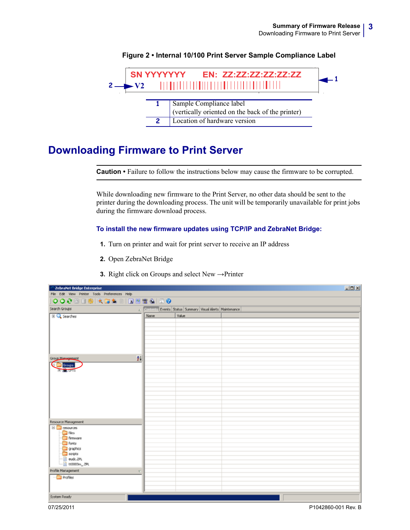<span id="page-2-0"></span>

#### **Figure 2 • Internal 10/100 Print Server Sample Compliance Label**

## **Downloading Firmware to Print Server**

**Caution •** Failure to follow the instructions below may cause the firmware to be corrupted.

While downloading new firmware to the Print Server, no other data should be sent to the printer during the downloading process. The unit will be temporarily unavailable for print jobs during the firmware download process.

#### **To install the new firmware updates using TCP/IP and ZebraNet Bridge:**

- **1.** Turn on printer and wait for print server to receive an IP address
- **2.** Open ZebraNet Bridge
- **3.** Right click on Groups and select New →Printer

| <b>ZebraNet Bridge Enterprise</b>                                                                                                         |                         |                                                             |  | $L = 1$ |
|-------------------------------------------------------------------------------------------------------------------------------------------|-------------------------|-------------------------------------------------------------|--|---------|
| File Edit View Printer Tools Preferences Help                                                                                             |                         |                                                             |  |         |
| O 0 0 0 1 4 5 6 8 0 0 0 1 0 0 0 0 0                                                                                                       |                         |                                                             |  |         |
| Search Groups                                                                                                                             |                         | 2 Contract: Events Status Summary Visual Alerts Maintenance |  |         |
| El Q Searches                                                                                                                             | Name                    | Value                                                       |  |         |
| Group Management<br>Cinemate Croups<br><b>B</b> <sub>(B)</sub> UPT1                                                                       | 24                      |                                                             |  |         |
| Resource Management                                                                                                                       |                         |                                                             |  |         |
| <b>E</b> resources<br><b>B</b> Nes<br>Firmware<br>Fonks<br>graphics<br>scripts<br>$-\blacksquare$ euck.2PL<br>$-\frac{1}{2}$ tt0003m_.ZPL |                         |                                                             |  |         |
| Profile Management                                                                                                                        | $\overline{\mathbf{C}}$ |                                                             |  |         |
| $\neg$ Profiles                                                                                                                           |                         |                                                             |  |         |
| System Ready                                                                                                                              |                         |                                                             |  |         |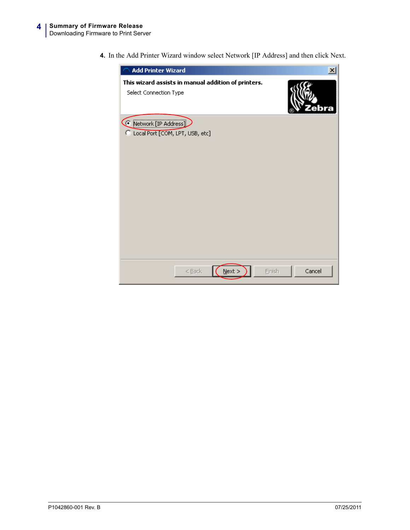**4.** In the Add Printer Wizard window select Network [IP Address] and then click Next.

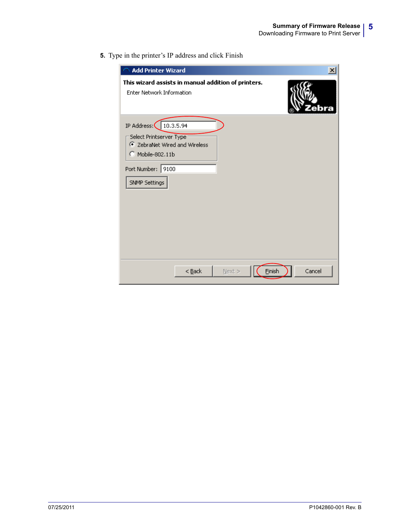**5.** Type in the printer's IP address and click Finish

| <b>Add Printer Wizard</b>                                                                                                                       | ×                |
|-------------------------------------------------------------------------------------------------------------------------------------------------|------------------|
| This wizard assists in manual addition of printers.<br><b>Enter Network Information</b>                                                         |                  |
| IP Address: (   10.3.5.94<br>Select Printserver Type<br>C ZebraNet Wired and Wireless<br>C Mobile-802.11b<br>Port Number: 9100<br>SNMP Settings |                  |
| $<$ Back<br>$Next$ >                                                                                                                            | Einish<br>Cancel |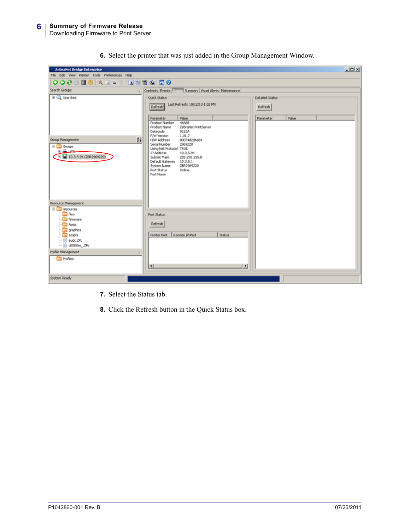| 2ebraNet Bridge Enterprise                                                                                                                                                           | $L = 1$                                                                                                                                                                                                                                      |  |
|--------------------------------------------------------------------------------------------------------------------------------------------------------------------------------------|----------------------------------------------------------------------------------------------------------------------------------------------------------------------------------------------------------------------------------------------|--|
| File Edit View Printer Tools Preferences Help                                                                                                                                        |                                                                                                                                                                                                                                              |  |
| ●●  ●第四日は『日本  日本  日の●●                                                                                                                                                               |                                                                                                                                                                                                                                              |  |
| Search Groups                                                                                                                                                                        | Contents Events Status Summary Visual Alerts Maintenance                                                                                                                                                                                     |  |
| El Q Searches                                                                                                                                                                        | Quick Status<br>Detailed Status<br>Last Refresh: 10/12/10 1:02 PM<br>Refresh<br>Refresh                                                                                                                                                      |  |
|                                                                                                                                                                                      | Value<br>Value<br>Parameter<br>Parameter<br>Product Number<br>46688<br>ZebraNet PrintServer<br>Product Name<br>Datecode<br>9212A<br>F/W Version<br>1.01.7                                                                                    |  |
| 24<br>Group Management<br>⊟ aroups<br>க்கொட<br>El (2, 10.3.5.94 (ZBR2969220)                                                                                                         | H/W Address<br>00074d2d4e84<br>Serial Number<br>2969220<br>Using Net Protocol TRUE<br>IP Address<br>10.3.5.94<br>Subnet Mask<br>255.255.255.0<br>Default Gateway 10.3.5.1<br>ZBR2969220<br>System Name<br>Port Status<br>Online<br>Port Name |  |
| Resource Management                                                                                                                                                                  |                                                                                                                                                                                                                                              |  |
| <b>E</b> resources<br><b>El files</b><br>Firmware<br>forks<br>graphics<br>scripts<br>euck.ZPL<br>11 tt0003m_.ZPL<br>Profile Management<br>$\overline{\mathbf{v}}$<br><b>Profiles</b> | Port Status<br>Refresh<br>Remote IP:Port<br>Printer Port<br><b>Status</b><br>$\blacksquare$                                                                                                                                                  |  |
| System Ready                                                                                                                                                                         | E                                                                                                                                                                                                                                            |  |

**6.** Select the printer that was just added in the Group Management Window.

- **7.** Select the Status tab.
- **8.** Click the Refresh button in the Quick Status box.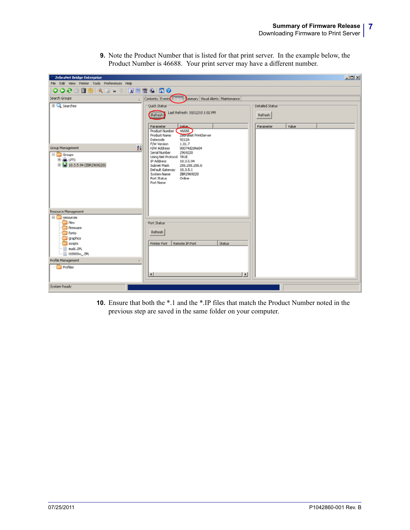**9.** Note the Product Number that is listed for that print server. In the example below, the Product Number is 46688. Your print server may have a different number.

| <b>ZebraNet Bridge Enterprise</b>                                                                                                                                    | $-101 \times$                                                                                                                                                                                                                                                                                                                             |  |
|----------------------------------------------------------------------------------------------------------------------------------------------------------------------|-------------------------------------------------------------------------------------------------------------------------------------------------------------------------------------------------------------------------------------------------------------------------------------------------------------------------------------------|--|
| File Edit View Printer Tools Preferences Help                                                                                                                        |                                                                                                                                                                                                                                                                                                                                           |  |
| ●●●●●●●●●●●●●●●●●●●●●●●●●●●●●●●●●●●●                                                                                                                                 |                                                                                                                                                                                                                                                                                                                                           |  |
| Search Groups                                                                                                                                                        | Contents Event Status Commany Visual Alerts Maintenance                                                                                                                                                                                                                                                                                   |  |
| <b>El Q</b> Searches                                                                                                                                                 | Quick Status<br>Detailed Status<br>Last Refresh: 10/12/10 1:02 PM<br>Refresh<br>Refresh<br>Value<br>Value<br>Parameter<br>Parameter<br>46688<br>Product Number                                                                                                                                                                            |  |
| $^{41}$<br>Group Management<br>⊟ Groups<br><b>B-ALLPT1</b><br>B 4 10.3.5.94 (ZBR2969220)                                                                             | ZecraNet PrintServer<br>Product Name<br>Datecode<br>9212A<br>F/W Version<br>1.01.7<br><b>H/W Address</b><br>00074d2d4e84<br>Serial Number<br>2969220<br>Using Net Protocol TRUE<br>IP Address<br>10.3.5.94<br>Subnet Mask<br>255.255.255.0<br>Default Gateway 10.3.5.1<br>ZBR2969220<br>System Name<br>Port Status<br>Online<br>Port Name |  |
| Resource Management                                                                                                                                                  |                                                                                                                                                                                                                                                                                                                                           |  |
| <b>E</b> resources<br><sup>n</sup> fés<br>Firmware<br>Forks<br>graphics<br>scripts<br>eudc.2PL<br>m<br>2PL tt0003m_ZPL<br>Profile Management<br>e<br><b>Profiles</b> | Port Status<br>Refresh<br>Remote IP:Port<br>Printer Port<br><b>Status</b><br>$\mathbf{F}$<br>$\vert \cdot \vert$                                                                                                                                                                                                                          |  |
| System Ready                                                                                                                                                         |                                                                                                                                                                                                                                                                                                                                           |  |

**10.** Ensure that both the \*.1 and the \*.IP files that match the Product Number noted in the previous step are saved in the same folder on your computer.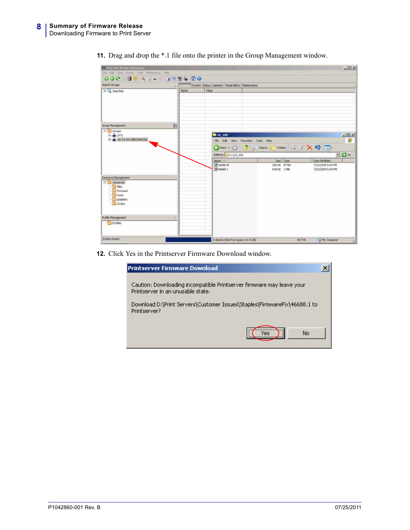| <b>A Biboohit Bildge Exterprise</b><br>Fis Life that Fordy Told Perference red-  |                |                                                                   |                                           | $-101 \times 1$                        |
|----------------------------------------------------------------------------------|----------------|-------------------------------------------------------------------|-------------------------------------------|----------------------------------------|
| OOC TEAT - NEWS CO                                                               |                |                                                                   |                                           |                                        |
| Search Groups                                                                    |                | 1   WITH IT Everts   Salus   Samury   Visual Alerts   Maintenance |                                           |                                        |
| H Q Searches                                                                     | <b>Tüarran</b> | Value                                                             |                                           |                                        |
|                                                                                  |                |                                                                   |                                           |                                        |
| Group Management                                                                 | $2+$           |                                                                   |                                           |                                        |
| E C Goups<br><b>B-BUTI</b>                                                       |                | 6 10 100                                                          |                                           | $\frac{1}{2}$                          |
| ● → 10:3.5.94 (2092969220)                                                       |                | File Edit View Favorites Tools Help                               |                                           | æ                                      |
|                                                                                  |                |                                                                   | Obst - () 3 Diseas 2 Folders   S 3 × 5 回- |                                        |
|                                                                                  |                | Address C-110, 100                                                |                                           | $-2a$                                  |
|                                                                                  |                | Name .-                                                           | San   Type                                | Date Modfied                           |
|                                                                                  |                | of essen pr<br>T 46688.1                                          | 200 kB IP Pie<br>539KB 1 Fde              | 7/31/2009 S:04 PM<br>7/31/2009 S:04 PM |
| Resource Management                                                              |                |                                                                   |                                           |                                        |
| El Cancionari<br><b>Plant</b><br><b>Tehnolen</b><br>Tores<br>or tehes<br>sources |                |                                                                   |                                           |                                        |
| <b>Frofile Management</b>                                                        | ×.             |                                                                   |                                           |                                        |
| <b>Fill Profiles</b>                                                             |                |                                                                   |                                           |                                        |
| System Ready                                                                     |                | 2 sheets (Delt Free space) 61.5 GB)                               | <b>N17KN</b>                              | H My Conguter                          |

**11.** Drag and drop the \*.1 file onto the printer in the Group Management window.

**12.** Click Yes in the Printserver Firmware Download window.

| <b>Printserver Firmware Download</b>                                                                       |  |
|------------------------------------------------------------------------------------------------------------|--|
| Caution: Downloading incompatible Printserver firmware may leave your<br>Printserver in an unusable state. |  |
| Download D:\Print Servers\Customer Issues\Staples\FirmwareFix\46688.1 to<br>Printserver?                   |  |
| No<br>ΈS                                                                                                   |  |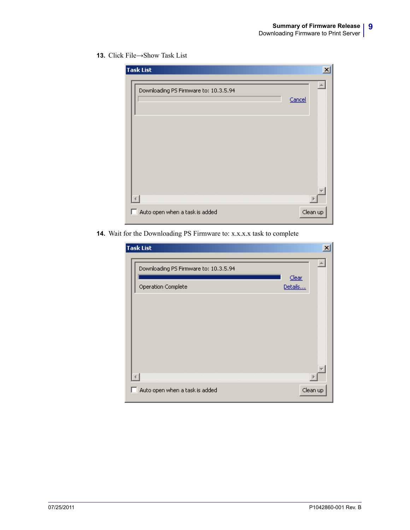#### **13.** Click File→Show Task List

| <b>Task List</b>                      | $\boldsymbol{\mathsf{x}}$ |
|---------------------------------------|---------------------------|
| Downloading PS Firmware to: 10.3.5.94 | Cancel                    |
|                                       |                           |
|                                       |                           |
|                                       |                           |
| Auto open when a task is added<br>ш   | Clean up                  |

**14.** Wait for the Downloading PS Firmware to: x.x.x.x task to complete

|   | <b>Task List</b>                      | $\vert x \vert$  |
|---|---------------------------------------|------------------|
|   | Downloading PS Firmware to: 10.3.5.94 |                  |
|   | Operation Complete                    | Clear<br>Details |
|   |                                       |                  |
|   |                                       |                  |
|   |                                       |                  |
|   |                                       |                  |
|   |                                       |                  |
| ш | Auto open when a task is added        | Clean up         |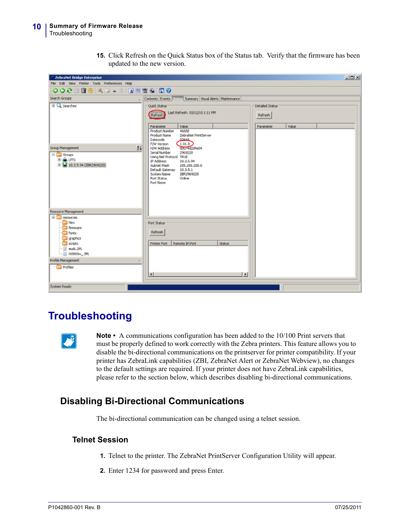**15.** Click Refresh on the Quick Status box of the Status tab. Verify that the firmware has been updated to the new version.

| <b>ZebraNet Bridge Enterprise</b>                                                                                                                                    | $L = 1$                                                                                                                                                                                                                |
|----------------------------------------------------------------------------------------------------------------------------------------------------------------------|------------------------------------------------------------------------------------------------------------------------------------------------------------------------------------------------------------------------|
| File Edit View Printer Tools Preferences Help<br> ●●  ●登園  東京→国  国内堂の  田●                                                                                            |                                                                                                                                                                                                                        |
|                                                                                                                                                                      |                                                                                                                                                                                                                        |
| Search Groups                                                                                                                                                        | Contents Events Stritts Summary Visual Alerts Maintenance                                                                                                                                                              |
| El C Searches                                                                                                                                                        | Quick Status<br>Detailed Status<br>Last Refresh: 10/12/10 1:11 PM<br>Refresh<br>Refresh                                                                                                                                |
| $^{41}$<br>Group Management                                                                                                                                          | Value<br>Value<br>Parameter<br>Parameter<br>Product Number<br>46688<br>ZebraNet PrintServer<br>Product Name<br>Datecode<br>02644<br>(1.01.8)<br>F/W Version<br>00074d2d4e84<br>H/W Address<br>Serial Number<br>2969220 |
| <b>⊟</b> Groups<br><b>SHALLPTI</b><br>B 4 10.3.5.94 (ZBR2969220)                                                                                                     | Using Net Protocol TRUE<br>IP Address<br>10.3.5.94<br>Subnet Mask<br>255.255.255.0<br>Default Gateway 10.3.5.1<br>System Name<br>ZBR2969220<br>Port Status<br>Online<br>Port Name                                      |
| Resource Management                                                                                                                                                  |                                                                                                                                                                                                                        |
| <b>E</b> resources<br><sup>n</sup> files<br>Firmware<br>Forks<br>graphics<br>scripts<br>III eudc.2PL<br>12 tt0003m_ZPL<br>Profile Management<br>e<br><b>Profiles</b> | Port Status<br>Refresh<br>Remote IP:Port<br>Printer Port<br><b>Status</b>                                                                                                                                              |
| System Ready                                                                                                                                                         | $\vert \cdot \vert$<br>$\mathbf{F}$                                                                                                                                                                                    |

## **Troubleshooting**

**Note** • A communications configuration has been added to the 10/100 Print servers that must be properly defined to work correctly with the Zebra printers. This feature allows you to disable the bi-directional communications on the printserver for printer compatibility. If your printer has ZebraLink capabilities (ZBI, ZebraNet Alert or ZebraNet Webview), no changes to the default settings are required. If your printer does not have ZebraLink capabilities, please refer to the section below, which describes disabling bi-directional communications.

### **Disabling Bi-Directional Communications**

The bi-directional communication can be changed using a telnet session.

### **Telnet Session**

- **1.** Telnet to the printer. The ZebraNet PrintServer Configuration Utility will appear.
- **2.** Enter 1234 for password and press Enter.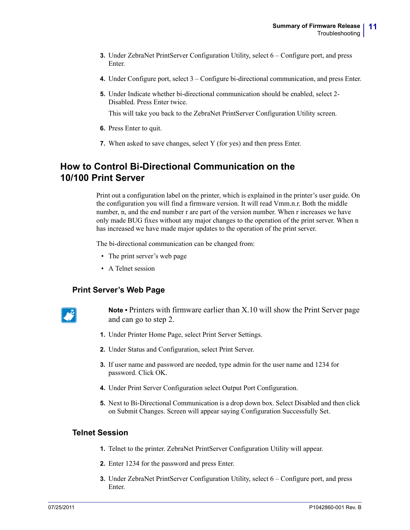- **3.** Under ZebraNet PrintServer Configuration Utility, select 6 Configure port, and press Enter.
- **4.** Under Configure port, select 3 Configure bi-directional communication, and press Enter.
- **5.** Under Indicate whether bi-directional communication should be enabled, select 2- Disabled. Press Enter twice.

This will take you back to the ZebraNet PrintServer Configuration Utility screen.

- **6.** Press Enter to quit.
- **7.** When asked to save changes, select Y (for yes) and then press Enter.

### **How to Control Bi-Directional Communication on the 10/100 Print Server**

Print out a configuration label on the printer, which is explained in the printer's user guide. On the configuration you will find a firmware version. It will read Vmm.n.r. Both the middle number, n, and the end number r are part of the version number. When r increases we have only made BUG fixes without any major changes to the operation of the print server. When n has increased we have made major updates to the operation of the print server.

The bi-directional communication can be changed from:

- The print server's web page
- A Telnet session

#### **Print Server's Web Page**



**Note •** Printers with firmware earlier than X.10 will show the Print Server page and can go to step 2.

- **1.** Under Printer Home Page, select Print Server Settings.
- **2.** Under Status and Configuration, select Print Server.
- **3.** If user name and password are needed, type admin for the user name and 1234 for password. Click OK.
- **4.** Under Print Server Configuration select Output Port Configuration.
- **5.** Next to Bi-Directional Communication is a drop down box. Select Disabled and then click on Submit Changes. Screen will appear saying Configuration Successfully Set.

#### **Telnet Session**

- **1.** Telnet to the printer. ZebraNet PrintServer Configuration Utility will appear.
- **2.** Enter 1234 for the password and press Enter.
- **3.** Under ZebraNet PrintServer Configuration Utility, select 6 Configure port, and press Enter.